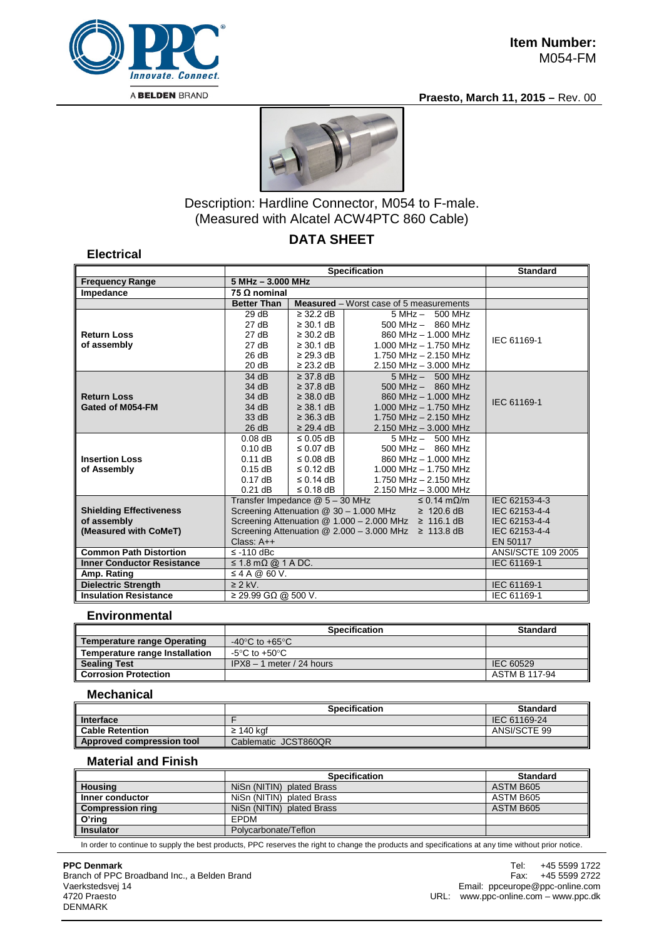

#### **Praesto, March 11, 2015 –** Rev. 00



# Description: Hardline Connector, M054 to F-male. (Measured with Alcatel ACW4PTC 860 Cable)

## **DATA SHEET**

#### **Electrical**

|                                   | <b>Specification</b>                                                                                                     |                    |                                                | <b>Standard</b> |  |
|-----------------------------------|--------------------------------------------------------------------------------------------------------------------------|--------------------|------------------------------------------------|-----------------|--|
| <b>Frequency Range</b>            |                                                                                                                          | 5 MHz - 3.000 MHz  |                                                |                 |  |
| Impedance                         | 75 Ω nominal                                                                                                             |                    |                                                |                 |  |
|                                   | <b>Better Than</b>                                                                                                       |                    | <b>Measured</b> – Worst case of 5 measurements |                 |  |
|                                   | 29dB                                                                                                                     | $\geq$ 32.2 dB     | $5 MHz - 500 MHz$                              |                 |  |
|                                   | 27 dB                                                                                                                    | $\geq$ 30.1 dB     | $500$ MHz $-$ 860 MHz                          |                 |  |
| <b>Return Loss</b>                | 27 dB                                                                                                                    | $\geq$ 30.2 dB     | 860 MHz - 1,000 MHz                            | IEC 61169-1     |  |
| of assembly                       | 27 dB                                                                                                                    | $\geq$ 30.1 dB     | $1.000$ MHz $- 1.750$ MHz                      |                 |  |
|                                   | 26 dB                                                                                                                    | $\geq$ 29.3 dB     | 1.750 MHz - 2.150 MHz                          |                 |  |
|                                   | 20 dB                                                                                                                    | $\geq$ 23.2 dB     | 2.150 MHz - 3.000 MHz                          |                 |  |
|                                   | 34 dB                                                                                                                    | $\geq$ 37.8 dB     | $5 MHz - 500 MHz$                              |                 |  |
|                                   | 34 dB                                                                                                                    | $\geq$ 37.8 dB     | $500$ MHz $-$ 860 MHz                          |                 |  |
| <b>Return Loss</b>                | 34 dB                                                                                                                    | $\geq$ 38.0 dB     | 860 MHz - 1.000 MHz                            | IEC 61169-1     |  |
| Gated of M054-FM                  | 34 dB                                                                                                                    | $\geq$ 38.1 dB     | $1.000$ MHz $- 1.750$ MHz                      |                 |  |
|                                   | 33 dB                                                                                                                    | $\geq$ 36.3 dB     | 1.750 MHz $-$ 2.150 MHz                        |                 |  |
|                                   | 26 dB                                                                                                                    | $\geq$ 29.4 dB     | $2.150$ MHz $- 3.000$ MHz                      |                 |  |
|                                   | $0.08$ dB                                                                                                                | $\leq$ 0.05 dB     | $5 MHz - 500 MHz$                              |                 |  |
|                                   | 0.10dB                                                                                                                   | $\leq$ 0.07 dB     | $500$ MHz $-$ 860 MHz                          |                 |  |
| <b>Insertion Loss</b>             | $0.11$ dB                                                                                                                | $\leq 0.08$ dB     | 860 MHz - 1.000 MHz                            |                 |  |
| of Assembly                       | $0.15$ dB                                                                                                                | $\leq$ 0.12 dB     | 1.000 MHz $-$ 1.750 MHz                        |                 |  |
|                                   | 0.17dB                                                                                                                   | $\leq$ 0.14 dB     | 1.750 MHz - 2.150 MHz                          |                 |  |
|                                   | $0.21$ dB                                                                                                                | $\leq$ 0.18 dB     | $2.150$ MHz $- 3.000$ MHz                      |                 |  |
|                                   | Transfer Impedance @ 5 - 30 MHz<br>$\leq$ 0.14 m $\Omega$ /m                                                             |                    |                                                | IEC 62153-4-3   |  |
| <b>Shielding Effectiveness</b>    | Screening Attenuation @ 30 - 1.000 MHz<br>$\geq 120.6$ dB<br>Screening Attenuation $@ 1.000 - 2.000$ MHz $\geq 116.1$ dB |                    |                                                | IEC 62153-4-4   |  |
| of assembly                       |                                                                                                                          | IEC 62153-4-4      |                                                |                 |  |
| (Measured with CoMeT)             | Screening Attenuation @ 2.000 - 3.000 MHz ≥ 113.8 dB                                                                     | IEC 62153-4-4      |                                                |                 |  |
|                                   | Class: $A++$                                                                                                             | EN 50117           |                                                |                 |  |
| <b>Common Path Distortion</b>     | $\le$ -110 dBc                                                                                                           | ANSI/SCTE 109 2005 |                                                |                 |  |
| <b>Inner Conductor Resistance</b> | $\leq 1.8 \text{ mA}$ $\textcircled{a}$ 1 A DC.                                                                          | IEC 61169-1        |                                                |                 |  |
| Amp. Rating                       | $\leq$ 4 A @ 60 V.                                                                                                       |                    |                                                |                 |  |
| <b>Dielectric Strength</b>        | $\geq$ 2 kV.                                                                                                             | IEC 61169-1        |                                                |                 |  |
| <b>Insulation Resistance</b>      | $\sqrt{29.99}$ GQ @ 500 V.                                                                                               |                    |                                                | IEC 61169-1     |  |

### **Environmental**

|                                    | <b>Specification</b>                 | <b>Standard</b> |
|------------------------------------|--------------------------------------|-----------------|
| <b>Temperature range Operating</b> | -40 $^{\circ}$ C to +65 $^{\circ}$ C |                 |
| Temperature range Installation     | -5°C to +50°C                        |                 |
| <b>Sealing Test</b>                | $IPX8 - 1$ meter / 24 hours          | IEC 60529       |
| <b>Corrosion Protection</b>        |                                      | ASTM B 117-94   |

### **Mechanical**

|                           | <b>Specification</b> | <b>Standard</b> |
|---------------------------|----------------------|-----------------|
| Interface                 |                      | IEC 61169-24    |
| <b>Cable Retention</b>    | ≥ 140 kaf            | ANSI/SCTE 99    |
| Approved compression tool | Cablematic JCST860QR |                 |

### **Material and Finish**

|                         | <b>Specification</b>      | <b>Standard</b> |
|-------------------------|---------------------------|-----------------|
| <b>Housing</b>          | NiSn (NITIN) plated Brass | ASTM B605       |
| Inner conductor         | NiSn (NITIN) plated Brass | ASTM B605       |
| <b>Compression ring</b> | NiSn (NITIN) plated Brass | ASTM B605       |
| O'ring                  | EPDM                      |                 |
| <b>Insulator</b>        | Polycarbonate/Teflon      |                 |

In order to continue to supply the best products, PPC reserves the right to change the products and specifications at any time without prior notice.

#### **PPC Denmark**

Branch of PPC Broadband Inc., a Belden Brand Vaerkstedsvej 14 4720 Praesto DENMARK

Tel: +45 5599 1722<br>Fax: +45 5599 2722 +45 5599 2722 Email: ppceurope@ppc-online.com URL: www.ppc-online.com – www.ppc.dk